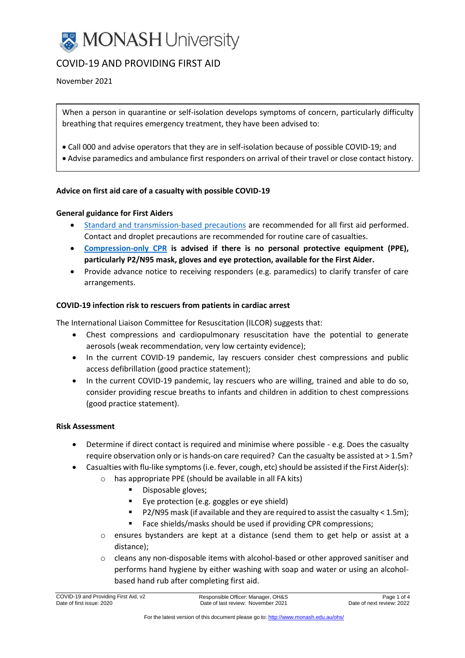

# COVID-19 AND PROVIDING FIRST AID

November 2021

When a person in quarantine or self-isolation develops symptoms of concern, particularly difficulty breathing that requires emergency treatment, they have been advised to:

- Call 000 and advise operators that they are in self-isolation because of possible COVID-19; and
- Advise paramedics and ambulance first responders on arrival of their travel or close contact history.

## **Advice on first aid care of a casualty with possible COVID-19**

## **General guidance for First Aiders**

- [Standard and transmission-based precautions](https://www2.health.vic.gov.au/public-health/infectious-diseases/infection-control-guidelines/standard-additional-precautions) are recommended for all first aid performed. Contact and droplet precautions are recommended for routine care of casualties.
- **[Compression-only CPR](https://secureservercdn.net/198.71.190.10/777.066.myftpupload.com/download/covid-19/flowchart-10-cpr-in-the-community-v-1_2.pdf) is advised if there is no personal protective equipment (PPE), particularly P2/N95 mask, gloves and eye protection, available for the First Aider.**
- Provide advance notice to receiving responders (e.g. paramedics) to clarify transfer of care arrangements.

#### **COVID-19 infection risk to rescuers from patients in cardiac arrest**

The International Liaison Committee for Resuscitation (ILCOR) suggests that:

- Chest compressions and cardiopulmonary resuscitation have the potential to generate aerosols (weak recommendation, very low certainty evidence);
- In the current COVID-19 pandemic, lay rescuers consider chest compressions and public access defibrillation (good practice statement);
- In the current COVID-19 pandemic, lay rescuers who are willing, trained and able to do so, consider providing rescue breaths to infants and children in addition to chest compressions (good practice statement).

#### **Risk Assessment**

- Determine if direct contact is required and minimise where possible e.g. Does the casualty require observation only or is hands-on care required? Can the casualty be assisted at > 1.5m?
- Casualties with flu-like symptoms(i.e. fever, cough, etc) should be assisted if the First Aider(s):
	- o has appropriate PPE (should be available in all FA kits)
		- Disposable gloves;
		- Eye protection (e.g. goggles or eye shield)
		- P2/N95 mask (if available and they are required to assist the casualty < 1.5m);
		- Face shields/masks should be used if providing CPR compressions;
	- $\circ$  ensures bystanders are kept at a distance (send them to get help or assist at a distance);
	- $\circ$  cleans any non-disposable items with alcohol-based or other approved sanitiser and performs hand hygiene by either washing with soap and water or using an alcoholbased hand rub after completing first aid.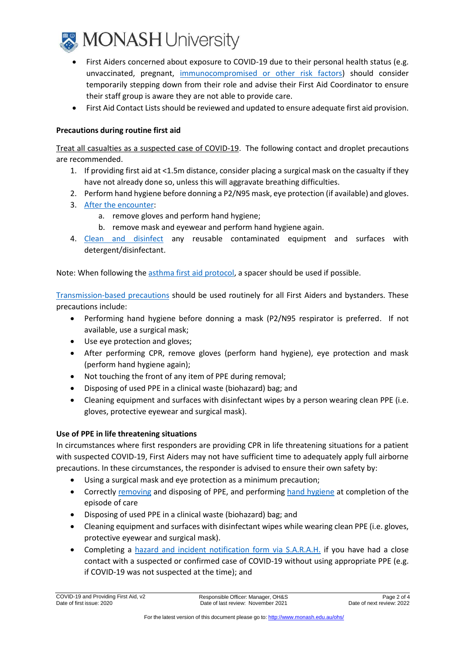

- First Aiders concerned about exposure to COVID-19 due to their personal health status (e.g. unvaccinated, pregnant, [immunocompromised](https://www.healthdirect.gov.au/coronavirus-covid-19-groups-at-higher-risk-faqs) or other risk factors) should consider temporarily stepping down from their role and advise their First Aid Coordinator to ensure their staff group is aware they are not able to provide care.
- First Aid Contact Lists should be reviewed and updated to ensure adequate first aid provision.

# **Precautions during routine first aid**

Treat all casualties as a suspected case of COVID-19. The following contact and droplet precautions are recommended.

- 1. If providing first aid at <1.5m distance, consider placing a surgical mask on the casualty if they have not already done so, unless this will aggravate breathing difficulties.
- 2. Perform hand hygiene before donning a P2/N95 mask, eye protection (if available) and gloves.
- 3. [After the encounter:](https://www.health.vic.gov.au/how-to-put-on-and-take-off-your-ppe-covid-19-pdf)
	- a. remove gloves and perform hand hygiene;
	- b. remove mask and eyewear and perform hand hygiene again.
- 4. Clean [and disinfect](https://content.health.vic.gov.au/sites/default/files/migrated/sites/default/files/documents/202012/Basic%2520tips%2520for%2520safe%2520environmental%2520cleaning%2520-%2520Coronavirus%2520%2528COVID-19%2529.pdf) any reusable contaminated equipment and surfaces with detergent/disinfectant.

Note: When following the asthma first aid [protocol,](http://s3-ap-southeast-2.amazonaws.com/nationalasthma/resources/First-Aid-Asthma-Chart.pdf) a spacer should be used if possible.

[Transmission-based](https://www2.health.vic.gov.au/public-health/infectious-diseases/infection-control-guidelines/standard-additional-precautions) precautions should be used routinely for all First Aiders and bystanders. These precautions include:

- Performing hand hygiene before donning a mask (P2/N95 respirator is preferred. If not available, use a surgical mask;
- Use eye protection and gloves;
- After performing CPR, remove gloves (perform hand hygiene), eye protection and mask (perform hand hygiene again);
- Not touching the front of any item of PPE during removal;
- Disposing of used PPE in a clinical waste (biohazard) bag; and
- Cleaning equipment and surfaces with disinfectant wipes by a person wearing clean PPE (i.e. gloves, protective eyewear and surgical mask).

# **Use of PPE in life threatening situations**

In circumstances where first responders are providing CPR in life threatening situations for a patient with suspected COVID-19, First Aiders may not have sufficient time to adequately apply full airborne precautions. In these circumstances, the responder is advised to ensure their own safety by:

- Using a surgical mask and eye protection as a minimum precaution;
- Correctly [removing](https://www.health.vic.gov.au/how-to-put-on-and-take-off-your-ppe-covid-19-pdf) and disposing of PPE, and performing [hand hygiene](https://www.who.int/gpsc/5may/Hand_Hygiene_Why_How_and_When_Brochure.pdf) at completion of the episode of care
- Disposing of used PPE in a clinical waste (biohazard) bag; and
- Cleaning equipment and surfaces with disinfectant wipes while wearing clean PPE (i.e. gloves, protective eyewear and surgical mask).
- Completing a [hazard and incident notification form via S.A.R.A.H.](https://www.monash.edu/ohs/sarah/report-incident-hazard) if you have had a close contact with a suspected or confirmed case of COVID-19 without using appropriate PPE (e.g. if COVID-19 was not suspected at the time); and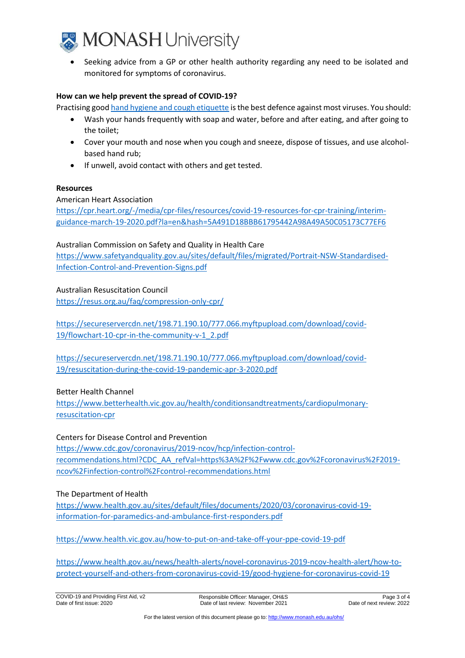

• Seeking advice from a GP or other health authority regarding any need to be isolated and monitored for symptoms of coronavirus.

### **How can we help prevent the spread of COVID-19?**

Practising goo[d hand hygiene and cough etiquette](https://www.health.gov.au/news/health-alerts/novel-coronavirus-2019-ncov-health-alert/how-to-protect-yourself-and-others-from-coronavirus-covid-19/good-hygiene-for-coronavirus-covid-19) is the best defence against most viruses. You should:

- Wash your hands frequently with soap and water, before and after eating, and after going to the toilet;
- Cover your mouth and nose when you cough and sneeze, dispose of tissues, and use alcoholbased hand rub;
- If unwell, avoid contact with others and get tested.

#### **Resources**

## American Heart Association

[https://cpr.heart.org/-/media/cpr-files/resources/covid-19-resources-for-cpr-training/interim](https://cpr.heart.org/-/media/cpr-files/resources/covid-19-resources-for-cpr-training/interim-guidance-march-19-2020.pdf?la=en&hash=5A491D18BBB61795442A98A49A50C05173C77EF6)[guidance-march-19-2020.pdf?la=en&hash=5A491D18BBB61795442A98A49A50C05173C77EF6](https://cpr.heart.org/-/media/cpr-files/resources/covid-19-resources-for-cpr-training/interim-guidance-march-19-2020.pdf?la=en&hash=5A491D18BBB61795442A98A49A50C05173C77EF6)

## Australian Commission on Safety and Quality in Health Care

[https://www.safetyandquality.gov.au/sites/default/files/migrated/Portrait-NSW-Standardised-](https://www.safetyandquality.gov.au/sites/default/files/migrated/Portrait-NSW-Standardised-Infection-Control-and-Prevention-Signs.pdf)[Infection-Control-and-Prevention-Signs.pdf](https://www.safetyandquality.gov.au/sites/default/files/migrated/Portrait-NSW-Standardised-Infection-Control-and-Prevention-Signs.pdf)

## Australian Resuscitation Council

<https://resus.org.au/faq/compression-only-cpr/>

https://secureservercdn.net/198.71.190.10/777.066.myftpupload.com/download/covid-19/flowchart-10-cpr-in-the-community-v-1\_2.pdf

[https://secureservercdn.net/198.71.190.10/777.066.myftpupload.com/download/covid-](https://secureservercdn.net/198.71.190.10/777.066.myftpupload.com/download/covid-19/resuscitation-during-the-covid-19-pandemic-apr-3-2020.pdf)[19/resuscitation-during-the-covid-19-pandemic-apr-3-2020.pdf](https://secureservercdn.net/198.71.190.10/777.066.myftpupload.com/download/covid-19/resuscitation-during-the-covid-19-pandemic-apr-3-2020.pdf)

#### Better Health Channel

[https://www.betterhealth.vic.gov.au/health/conditionsandtreatments/cardiopulmonary](https://www.betterhealth.vic.gov.au/health/conditionsandtreatments/cardiopulmonary-resuscitation-cpr)[resuscitation-cpr](https://www.betterhealth.vic.gov.au/health/conditionsandtreatments/cardiopulmonary-resuscitation-cpr)

#### Centers for Disease Control and Prevention

[https://www.cdc.gov/coronavirus/2019-ncov/hcp/infection-control](https://www.cdc.gov/coronavirus/2019-ncov/hcp/infection-control-recommendations.html?CDC_AA_refVal=https%3A%2F%2Fwww.cdc.gov%2Fcoronavirus%2F2019-ncov%2Finfection-control%2Fcontrol-recommendations.html)[recommendations.html?CDC\\_AA\\_refVal=https%3A%2F%2Fwww.cdc.gov%2Fcoronavirus%2F2019](https://www.cdc.gov/coronavirus/2019-ncov/hcp/infection-control-recommendations.html?CDC_AA_refVal=https%3A%2F%2Fwww.cdc.gov%2Fcoronavirus%2F2019-ncov%2Finfection-control%2Fcontrol-recommendations.html) [ncov%2Finfection-control%2Fcontrol-recommendations.html](https://www.cdc.gov/coronavirus/2019-ncov/hcp/infection-control-recommendations.html?CDC_AA_refVal=https%3A%2F%2Fwww.cdc.gov%2Fcoronavirus%2F2019-ncov%2Finfection-control%2Fcontrol-recommendations.html)

#### The Department of Health

[https://www.health.gov.au/sites/default/files/documents/2020/03/coronavirus-covid-19](https://www.health.gov.au/sites/default/files/documents/2020/03/coronavirus-covid-19-information-for-paramedics-and-ambulance-first-responders.pdf) [information-for-paramedics-and-ambulance-first-responders.pdf](https://www.health.gov.au/sites/default/files/documents/2020/03/coronavirus-covid-19-information-for-paramedics-and-ambulance-first-responders.pdf)

<https://www.health.vic.gov.au/how-to-put-on-and-take-off-your-ppe-covid-19-pdf>

[https://www.health.gov.au/news/health-alerts/novel-coronavirus-2019-ncov-health-alert/how-to](https://www.health.gov.au/news/health-alerts/novel-coronavirus-2019-ncov-health-alert/how-to-protect-yourself-and-others-from-coronavirus-covid-19/good-hygiene-for-coronavirus-covid-19)[protect-yourself-and-others-from-coronavirus-covid-19/good-hygiene-for-coronavirus-covid-19](https://www.health.gov.au/news/health-alerts/novel-coronavirus-2019-ncov-health-alert/how-to-protect-yourself-and-others-from-coronavirus-covid-19/good-hygiene-for-coronavirus-covid-19)

COVID-19 and Providing First Aid, v2 Date of first issue: 2020